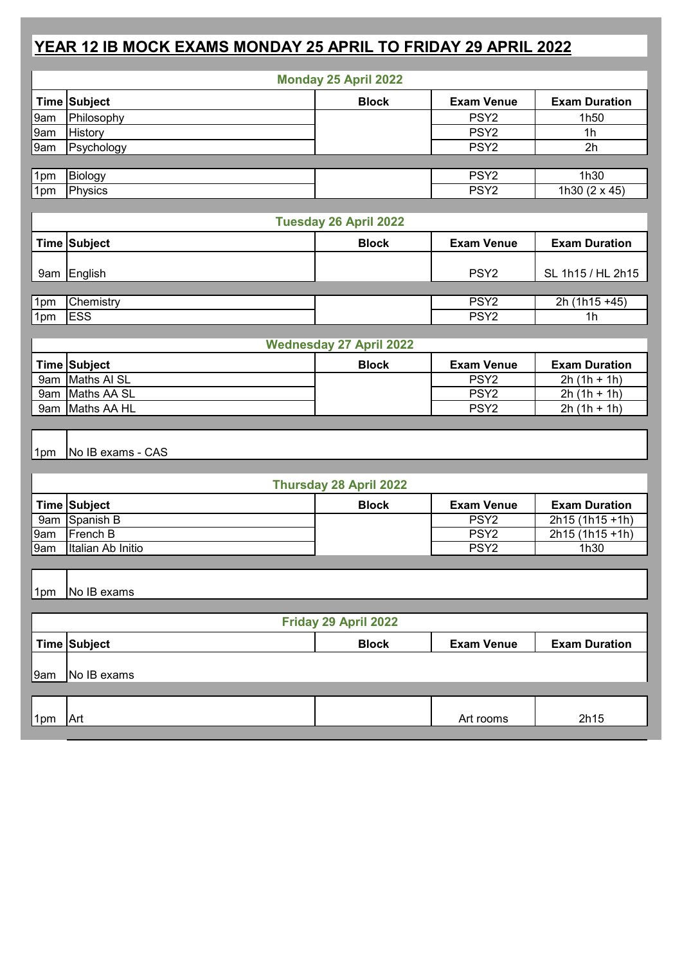## **YEAR 12 IB MOCK EXAMS MONDAY 25 APRIL TO FRIDAY 29 APRIL 2022**

| <b>Monday 25 April 2022</b>    |                               |              |                   |                            |  |
|--------------------------------|-------------------------------|--------------|-------------------|----------------------------|--|
|                                | Time Subject                  | <b>Block</b> | <b>Exam Venue</b> | <b>Exam Duration</b>       |  |
| 9am                            | Philosophy                    |              | PSY <sub>2</sub>  | 1h50                       |  |
| 9am                            | <b>History</b>                |              | PSY <sub>2</sub>  | 1 <sub>h</sub>             |  |
| 9am                            | Psychology                    |              | PSY <sub>2</sub>  | 2h                         |  |
|                                |                               |              |                   |                            |  |
| 1pm                            | Biology                       |              | PSY <sub>2</sub>  | 1h30                       |  |
| 1pm                            | Physics                       |              | PSY <sub>2</sub>  | $\sqrt{1h30(2 \times 45)}$ |  |
|                                |                               |              |                   |                            |  |
| Tuesday 26 April 2022          |                               |              |                   |                            |  |
|                                | Time Subject                  | <b>Block</b> | <b>Exam Venue</b> | <b>Exam Duration</b>       |  |
|                                |                               |              |                   |                            |  |
|                                | 9am English                   |              | PSY <sub>2</sub>  | SL 1h15 / HL 2h15          |  |
|                                |                               |              |                   |                            |  |
| 1pm                            | Chemistry                     |              | PSY <sub>2</sub>  | $2h(1h15+45)$              |  |
| 1pm                            | <b>ESS</b>                    |              | PSY <sub>2</sub>  | 1 <sub>h</sub>             |  |
| <b>Wednesday 27 April 2022</b> |                               |              |                   |                            |  |
|                                | Time Subject                  | <b>Block</b> | <b>Exam Venue</b> | <b>Exam Duration</b>       |  |
|                                | 9am Maths AI SL               |              | PSY <sub>2</sub>  | $2h(1h + 1h)$              |  |
|                                | 9am Maths AA SL               |              | PSY <sub>2</sub>  | $2h(1h + 1h)$              |  |
|                                | 9am Maths AA HL               |              | PSY <sub>2</sub>  | $2h(1h + 1h)$              |  |
|                                |                               |              |                   |                            |  |
|                                |                               |              |                   |                            |  |
| 1pm                            | No IB exams - CAS             |              |                   |                            |  |
|                                |                               |              |                   |                            |  |
|                                | <b>Thursday 28 April 2022</b> |              |                   |                            |  |
|                                | Time Subject                  | <b>Block</b> | <b>Exam Venue</b> | <b>Exam Duration</b>       |  |
| 9am                            | Spanish B                     |              | PSY <sub>2</sub>  | $2h15(1h15+1h)$            |  |
| 9am                            | French B                      |              | PSY <sub>2</sub>  | 2h15 (1h15 +1h)            |  |
| 9am                            | Italian Ab Initio             |              | PSY <sub>2</sub>  | 1h30                       |  |
|                                |                               |              |                   |                            |  |
|                                |                               |              |                   |                            |  |
| 1pm                            | No IB exams                   |              |                   |                            |  |
|                                |                               |              |                   |                            |  |
| Friday 29 April 2022           |                               |              |                   |                            |  |
|                                | Time Subject                  | <b>Block</b> | <b>Exam Venue</b> | <b>Exam Duration</b>       |  |
|                                |                               |              |                   |                            |  |
| 9am                            | No IB exams                   |              |                   |                            |  |
|                                |                               |              |                   |                            |  |
|                                |                               |              |                   |                            |  |
| 1pm                            | Art                           |              | Art rooms         | 2h15                       |  |
|                                |                               |              |                   |                            |  |